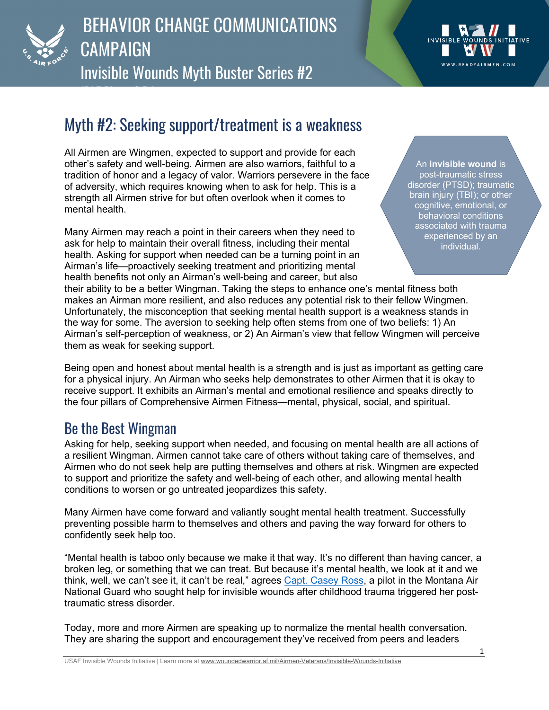

## BEHAVIOR CHANGE COMMUNICATIONS **CAMPAIGN** Invisible Wounds Myth Buster Series #2



## Myth #2: Seeking support/treatment is a weakness

All Airmen are Wingmen, expected to support and provide for each other's safety and well-being. Airmen are also warriors, faithful to a tradition of honor and a legacy of valor. Warriors persevere in the face of adversity, which requires knowing when to ask for help. This is a strength all Airmen strive for but often overlook when it comes to mental health

Many Airmen may reach a point in their careers when they need to ask for help to maintain their overall fitness, including their mental health. Asking for support when needed can be a turning point in an Airman's life—proactively seeking treatment and prioritizing mental health benefits not only an Airman's well-being and career, but also

An **invisible wound** is post-traumatic stress disorder (PTSD); traumatic brain injury (TBI); or other cognitive, emotional, or behavioral conditions associated with trauma experienced by an individual.

their ability to be a better Wingman. Taking the steps to enhance one's mental fitness both makes an Airman more resilient, and also reduces any potential risk to their fellow Wingmen. Unfortunately, the misconception that seeking mental health support is a weakness stands in the way for some. The aversion to seeking help often stems from one of two beliefs: 1) An Airman's self-perception of weakness, or 2) An Airman's view that fellow Wingmen will perceive them as weak for seeking support.

Being open and honest about mental health is a strength and is just as important as getting care for a physical injury. An Airman who seeks help demonstrates to other Airmen that it is okay to receive support. It exhibits an Airman's mental and emotional resilience and speaks directly to the four pillars of Comprehensive Airmen Fitness—mental, physical, social, and spiritual.

## Be the Best Wingman

Asking for help, seeking support when needed, and focusing on mental health are all actions of a resilient Wingman. Airmen cannot take care of others without taking care of themselves, and Airmen who do not seek help are putting themselves and others at risk. Wingmen are expected to support and prioritize the safety and well-being of each other, and allowing mental health conditions to worsen or go untreated jeopardizes this safety.

Many Airmen have come forward and valiantly sought mental health treatment. Successfully preventing possible harm to themselves and others and paving the way forward for others to confidently seek help too.

"Mental health is taboo only because we make it that way. It's no different than having cancer, a broken leg, or something that we can treat. But because it's mental health, we look at it and we think, well, we can't see it, it can't be real," agrees Capt. Casey Ross, a pilot in the Montana Air National Guard who sought help for invisible wounds after childhood trauma triggered her posttraumatic stress disorder.

Today, more and more Airmen are speaking up to normalize the mental health conversation. They are sharing the support and encouragement they've received from peers and leaders